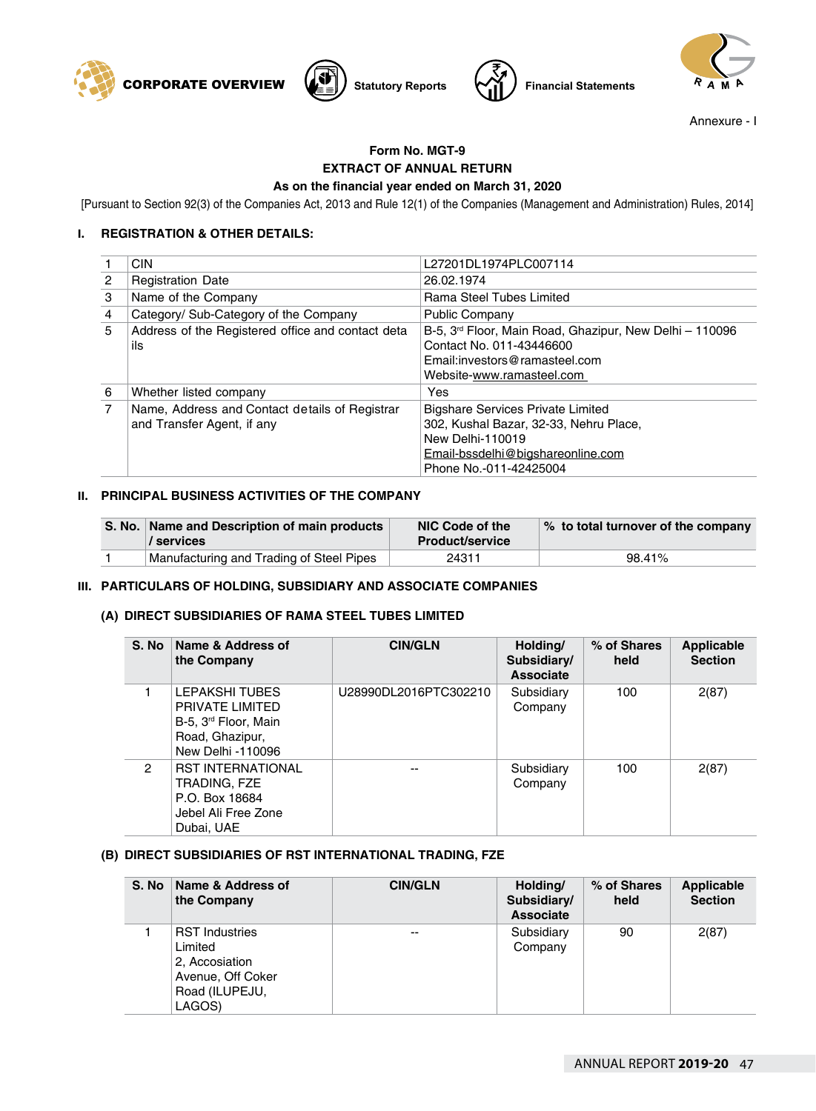





Annexure - I

# **Form No. MGT-9 EXTRACT OF ANNUAL RETURN As on the financial year ended on March 31, 2020**

[Pursuant to Section 92(3) of the Companies Act, 2013 and Rule 12(1) of the Companies (Management and Administration) Rules, 2014]

# **I. REGISTRATION & OTHER DETAILS:**

|                | <b>CIN</b>                                                                   | L27201DL1974PLC007114                                                                                                                                                 |
|----------------|------------------------------------------------------------------------------|-----------------------------------------------------------------------------------------------------------------------------------------------------------------------|
| $\overline{2}$ | <b>Registration Date</b>                                                     | 26.02.1974                                                                                                                                                            |
| 3              | Name of the Company                                                          | Rama Steel Tubes Limited                                                                                                                                              |
| 4              | Category/ Sub-Category of the Company                                        | <b>Public Company</b>                                                                                                                                                 |
| 5              | Address of the Registered office and contact deta<br>ils                     | B-5, 3 <sup>rd</sup> Floor, Main Road, Ghazipur, New Delhi - 110096<br>Contact No. 011-43446600<br>Email: investors@ramasteel.com<br>Website-www.ramasteel.com        |
| 6              | Whether listed company                                                       | Yes                                                                                                                                                                   |
| $\overline{7}$ | Name, Address and Contact details of Registrar<br>and Transfer Agent, if any | <b>Bigshare Services Private Limited</b><br>302, Kushal Bazar, 32-33, Nehru Place,<br>New Delhi-110019<br>Email-bssdelhi@bigshareonline.com<br>Phone No.-011-42425004 |

### **II. PRINCIPAL BUSINESS ACTIVITIES OF THE COMPANY**

| S. No.   Name and Description of main products<br>/ services | NIC Code of the<br><b>Product/service</b> | % to total turnover of the company |
|--------------------------------------------------------------|-------------------------------------------|------------------------------------|
| Manufacturing and Trading of Steel Pipes                     | 24311                                     | 98.41%                             |

## **III. PARTICULARS OF HOLDING, SUBSIDIARY AND ASSOCIATE COMPANIES**

#### **(A) DIRECT SUBSIDIARIES OF RAMA STEEL TUBES LIMITED**

| S. No | Name & Address of<br>the Company                                                                              | <b>CIN/GLN</b>        | Holding/<br>Subsidiary/<br><b>Associate</b> | % of Shares<br>held | <b>Applicable</b><br><b>Section</b> |
|-------|---------------------------------------------------------------------------------------------------------------|-----------------------|---------------------------------------------|---------------------|-------------------------------------|
|       | LEPAKSHI TUBES<br>PRIVATE LIMITED<br>B-5, 3 <sup>rd</sup> Floor, Main<br>Road, Ghazipur,<br>New Delhi -110096 | U28990DL2016PTC302210 | Subsidiary<br>Company                       | 100                 | 2(87)                               |
| 2     | <b>RST INTERNATIONAL</b><br>TRADING, FZE<br>P.O. Box 18684<br>Jebel Ali Free Zone<br>Dubai, UAE               | $- -$                 | Subsidiary<br>Company                       | 100                 | 2(87)                               |

## **(B) DIRECT SUBSIDIARIES OF RST INTERNATIONAL TRADING, FZE**

| S. No | <b>Name &amp; Address of</b><br>the Company                                                         | <b>CIN/GLN</b> | Holding/<br>Subsidiary/<br><b>Associate</b> | % of Shares<br>held | Applicable<br><b>Section</b> |
|-------|-----------------------------------------------------------------------------------------------------|----------------|---------------------------------------------|---------------------|------------------------------|
|       | <b>RST Industries</b><br>Limited<br>2. Accosiation<br>Avenue, Off Coker<br>Road (ILUPEJU,<br>LAGOS) | $- -$          | Subsidiary<br>Company                       | 90                  | 2(87)                        |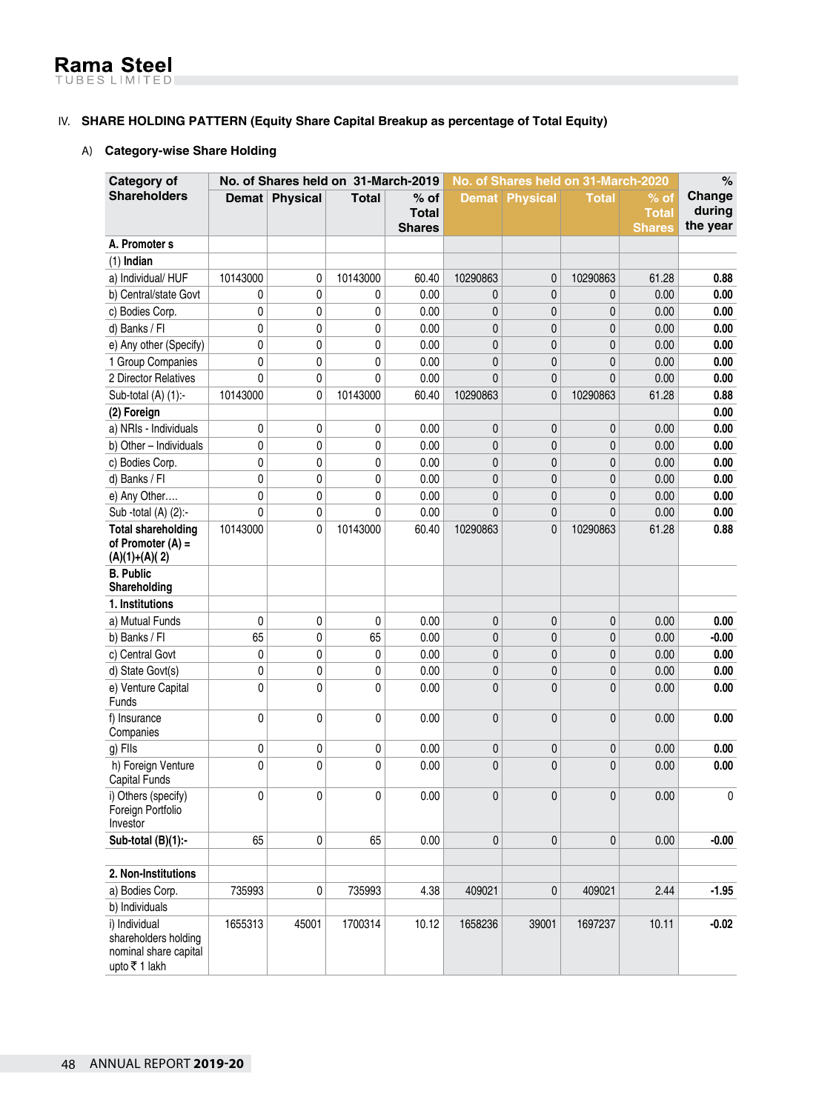# IV. **SHARE HOLDING PATTERN (Equity Share Capital Breakup as percentage of Total Equity)**

#### A) **Category-wise Share Holding**

| Category of                                                                    |             | No. of Shares held on 31-March-2019 |              |                               |                | No. of Shares held on 31-March-2020 |              |                               | $\%$               |
|--------------------------------------------------------------------------------|-------------|-------------------------------------|--------------|-------------------------------|----------------|-------------------------------------|--------------|-------------------------------|--------------------|
| <b>Shareholders</b>                                                            |             | Demat Physical                      | <b>Total</b> | $%$ of                        |                | <b>Demat Physical</b>               | <b>Total</b> | % of                          | Change             |
|                                                                                |             |                                     |              | <b>Total</b><br><b>Shares</b> |                |                                     |              | <b>Total</b><br><b>Shares</b> | during<br>the year |
| A. Promoter s                                                                  |             |                                     |              |                               |                |                                     |              |                               |                    |
| $(1)$ Indian                                                                   |             |                                     |              |                               |                |                                     |              |                               |                    |
| a) Individual/HUF                                                              | 10143000    | 0                                   | 10143000     | 60.40                         | 10290863       | 0                                   | 10290863     | 61.28                         | 0.88               |
| b) Central/state Govt                                                          | 0           | 0                                   | 0            | 0.00                          | 0              | 0                                   | 0            | 0.00                          | 0.00               |
| c) Bodies Corp.                                                                | 0           | 0                                   | 0            | 0.00                          | 0              | 0                                   | $\mathbf{0}$ | 0.00                          | 0.00               |
| d) Banks / Fl                                                                  | 0           | 0                                   | 0            | 0.00                          | 0              | 0                                   | 0            | 0.00                          | 0.00               |
| e) Any other (Specify)                                                         | 0           | 0                                   | 0            | 0.00                          | 0              | 0                                   | 0            | 0.00                          | 0.00               |
| 1 Group Companies                                                              | 0           | 0                                   | 0            | 0.00                          | 0              | 0                                   | 0            | 0.00                          | 0.00               |
| 2 Director Relatives                                                           | 0           | 0                                   | 0            | 0.00                          | 0              | 0                                   | $\mathbf{0}$ | 0.00                          | 0.00               |
| Sub-total (A) (1):-                                                            | 10143000    | 0                                   | 10143000     | 60.40                         | 10290863       | 0                                   | 10290863     | 61.28                         | 0.88               |
| (2) Foreign                                                                    |             |                                     |              |                               |                |                                     |              |                               | 0.00               |
| a) NRIs - Individuals                                                          | 0           | 0                                   | 0            | 0.00                          | 0              | 0                                   | 0            | 0.00                          | 0.00               |
| b) Other - Individuals                                                         | 0           | 0                                   | 0            | 0.00                          | 0              | 0                                   | 0            | 0.00                          | 0.00               |
| c) Bodies Corp.                                                                | 0           | 0                                   | 0            | 0.00                          | 0              | 0                                   | 0            | 0.00                          | 0.00               |
| d) Banks / Fl                                                                  | 0           | 0                                   | 0            | 0.00                          | 0              | 0                                   | $\mathbf{0}$ | 0.00                          | 0.00               |
| e) Any Other                                                                   | $\mathbf 0$ | 0                                   | 0            | 0.00                          | 0              | 0                                   | 0            | 0.00                          | 0.00               |
| Sub -total (A) (2):-                                                           | $\mathbf 0$ | 0                                   | 0            | 0.00                          | $\overline{0}$ | 0                                   | $\mathbf{0}$ | 0.00                          | 0.00               |
| <b>Total shareholding</b><br>of Promoter $(A)$ =<br>$(A)(1)+(A)(2)$            | 10143000    | 0                                   | 10143000     | 60.40                         | 10290863       | 0                                   | 10290863     | 61.28                         | 0.88               |
| <b>B.</b> Public                                                               |             |                                     |              |                               |                |                                     |              |                               |                    |
| Shareholding                                                                   |             |                                     |              |                               |                |                                     |              |                               |                    |
| 1. Institutions                                                                |             |                                     |              |                               |                |                                     |              |                               |                    |
| a) Mutual Funds                                                                | $\mathbf 0$ | 0                                   | 0            | 0.00                          | 0              | 0                                   | $\mathbf 0$  | 0.00                          | 0.00               |
| b) Banks / Fl                                                                  | 65          | 0                                   | 65           | 0.00                          | 0              | 0                                   | 0            | 0.00                          | $-0.00$            |
| c) Central Govt                                                                | 0           | 0                                   | 0            | 0.00                          | 0              | 0                                   | 0            | 0.00                          | 0.00               |
| d) State Govt(s)                                                               | 0           | 0                                   | 0            | 0.00                          | 0              | 0                                   | 0            | 0.00                          | 0.00               |
| e) Venture Capital<br>Funds                                                    | 0           | 0                                   | 0            | 0.00                          | 0              | $\mathbf{0}$                        | 0            | 0.00                          | 0.00               |
| f) Insurance<br>Companies                                                      | $\mathbf 0$ | 0                                   | 0            | 0.00                          | 0              | $\mathbf{0}$                        | 0            | 0.00                          | 0.00               |
| g) Flls                                                                        | $\pmb{0}$   | 0                                   | 0            | 0.00                          | 0              | 0                                   | 0            | 0.00                          | 0.00               |
| h) Foreign Venture<br>Capital Funds                                            | $\mathbf 0$ | 0                                   | 0            | 0.00                          | 0              | 0                                   | $\mathbf{0}$ | 0.00                          | 0.00               |
| i) Others (specify)<br>Foreign Portfolio<br>Investor                           | 0           | 0                                   | 0            | 0.00                          | 0              | 0                                   | 0            | 0.00                          | 0                  |
| Sub-total (B)(1):-                                                             | 65          | 0                                   | 65           | 0.00                          | 0              | 0                                   | 0            | 0.00                          | $-0.00$            |
|                                                                                |             |                                     |              |                               |                |                                     |              |                               |                    |
| 2. Non-Institutions                                                            |             |                                     |              |                               |                |                                     |              |                               |                    |
| a) Bodies Corp.                                                                | 735993      | 0                                   | 735993       | 4.38                          | 409021         | 0                                   | 409021       | 2.44                          | $-1.95$            |
| b) Individuals                                                                 |             |                                     |              |                               |                |                                     |              |                               |                    |
| i) Individual<br>shareholders holding<br>nominal share capital<br>upto ₹1 lakh | 1655313     | 45001                               | 1700314      | 10.12                         | 1658236        | 39001                               | 1697237      | 10.11                         | $-0.02$            |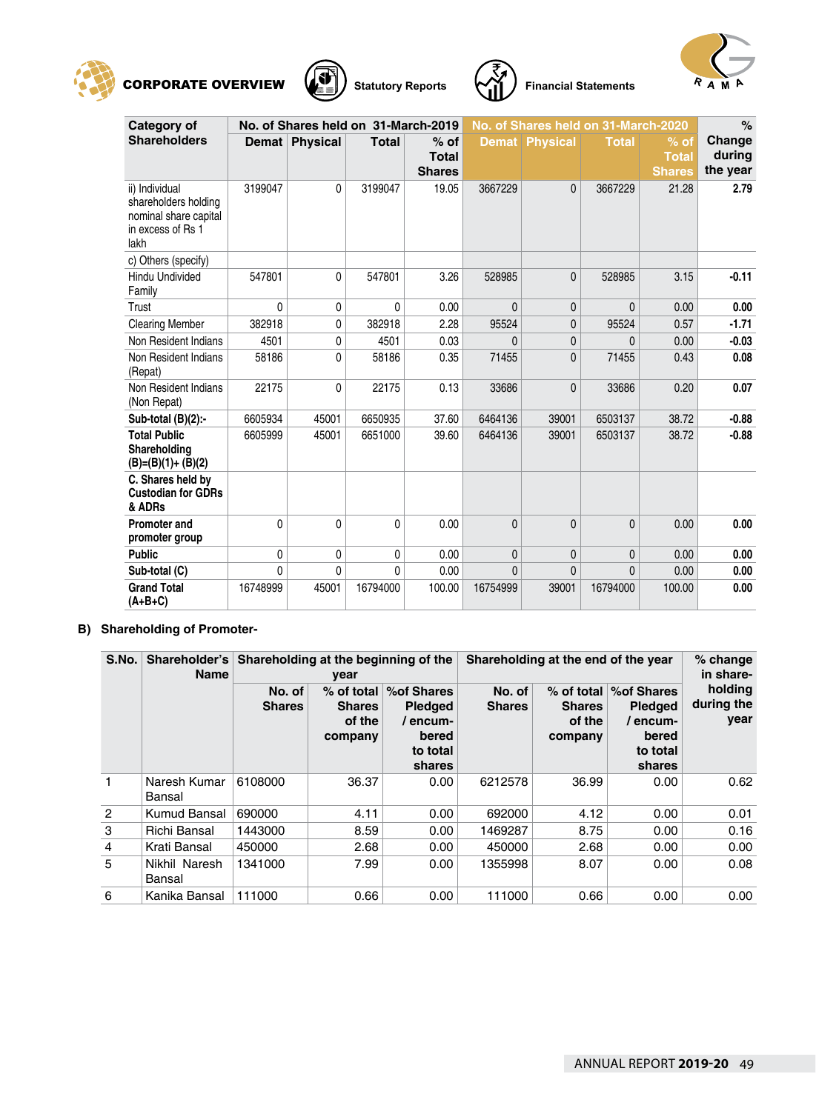







| Category of                                                                                  |          | No. of Shares held on 31-March-2019 |              |                                         | No. of Shares held on 31-March-2020 |                 |              |                                         | %                            |
|----------------------------------------------------------------------------------------------|----------|-------------------------------------|--------------|-----------------------------------------|-------------------------------------|-----------------|--------------|-----------------------------------------|------------------------------|
| <b>Shareholders</b>                                                                          |          | Demat Physical                      | <b>Total</b> | $%$ of<br><b>Total</b><br><b>Shares</b> | <b>Demat</b>                        | <b>Physical</b> | <b>Total</b> | $%$ of<br><b>Total</b><br><b>Shares</b> | Change<br>during<br>the year |
| ii) Individual<br>shareholders holding<br>nominal share capital<br>in excess of Rs 1<br>lakh | 3199047  | 0                                   | 3199047      | 19.05                                   | 3667229                             | $\mathbf{0}$    | 3667229      | 21.28                                   | 2.79                         |
| c) Others (specify)<br>Hindu Undivided<br>Family                                             | 547801   | 0                                   | 547801       | 3.26                                    | 528985                              | 0               | 528985       | 3.15                                    | $-0.11$                      |
| Trust                                                                                        | 0        | 0                                   | $\mathbf{0}$ | 0.00                                    | $\mathbf{0}$                        | $\mathbf{0}$    | $\mathbf{0}$ | 0.00                                    | 0.00                         |
| <b>Clearing Member</b>                                                                       | 382918   | 0                                   | 382918       | 2.28                                    | 95524                               | $\mathbf{0}$    | 95524        | 0.57                                    | $-1.71$                      |
| Non Resident Indians                                                                         | 4501     | 0                                   | 4501         | 0.03                                    | $\Omega$                            | $\overline{0}$  | 0            | 0.00                                    | $-0.03$                      |
| Non Resident Indians<br>(Repat)                                                              | 58186    | 0                                   | 58186        | 0.35                                    | 71455                               | $\mathbf{0}$    | 71455        | 0.43                                    | 0.08                         |
| Non Resident Indians<br>(Non Repat)                                                          | 22175    | 0                                   | 22175        | 0.13                                    | 33686                               | $\mathbf{0}$    | 33686        | 0.20                                    | 0.07                         |
| Sub-total (B)(2):-                                                                           | 6605934  | 45001                               | 6650935      | 37.60                                   | 6464136                             | 39001           | 6503137      | 38.72                                   | $-0.88$                      |
| <b>Total Public</b><br>Shareholding<br>$(B)=(B)(1)+(B)(2)$                                   | 6605999  | 45001                               | 6651000      | 39.60                                   | 6464136                             | 39001           | 6503137      | 38.72                                   | $-0.88$                      |
| C. Shares held by<br><b>Custodian for GDRs</b><br>& ADRs                                     |          |                                     |              |                                         |                                     |                 |              |                                         |                              |
| <b>Promoter and</b><br>promoter group                                                        | 0        | 0                                   | $\mathbf{0}$ | 0.00                                    | $\mathbf{0}$                        | $\mathbf{0}$    | $\mathbf{0}$ | 0.00                                    | 0.00                         |
| <b>Public</b>                                                                                | 0        | 0                                   | $\mathbf 0$  | 0.00                                    | $\mathbf{0}$                        | 0               | 0            | 0.00                                    | 0.00                         |
| Sub-total (C)                                                                                | 0        | 0                                   | $\mathbf{0}$ | 0.00                                    | $\mathbf{0}$                        | $\mathbf{0}$    | 0            | 0.00                                    | 0.00                         |
| <b>Grand Total</b><br>$(A+B+C)$                                                              | 16748999 | 45001                               | 16794000     | 100.00                                  | 16754999                            | 39001           | 16794000     | 100.00                                  | 0.00                         |

# **B) Shareholding of Promoter-**

| S.No.          | Shareholder's<br><b>Name</b> | Shareholding at the beginning of the<br>year |                                    |                                                                                       | Shareholding at the end of the year | % change<br>in share-                              |                                                                        |                               |
|----------------|------------------------------|----------------------------------------------|------------------------------------|---------------------------------------------------------------------------------------|-------------------------------------|----------------------------------------------------|------------------------------------------------------------------------|-------------------------------|
|                |                              | No. of<br><b>Shares</b>                      | <b>Shares</b><br>of the<br>company | % of total   % of Shares<br><b>Pledged</b><br>/ encum-<br>bered<br>to total<br>shares | No. of<br><b>Shares</b>             | $%$ of total<br><b>Shares</b><br>of the<br>company | % of Shares<br><b>Pledged</b><br>encum-<br>bered<br>to total<br>shares | holding<br>during the<br>year |
| 1              | Naresh Kumar<br>Bansal       | 6108000                                      | 36.37                              | 0.00                                                                                  | 6212578                             | 36.99                                              | 0.00                                                                   | 0.62                          |
| $\overline{2}$ | Kumud Bansal                 | 690000                                       | 4.11                               | 0.00                                                                                  | 692000                              | 4.12                                               | 0.00                                                                   | 0.01                          |
| 3              | Richi Bansal                 | 1443000                                      | 8.59                               | 0.00                                                                                  | 1469287                             | 8.75                                               | 0.00                                                                   | 0.16                          |
| $\overline{4}$ | Krati Bansal                 | 450000                                       | 2.68                               | 0.00                                                                                  | 450000                              | 2.68                                               | 0.00                                                                   | 0.00                          |
| 5              | Nikhil Naresh<br>Bansal      | 1341000                                      | 7.99                               | 0.00                                                                                  | 1355998                             | 8.07                                               | 0.00                                                                   | 0.08                          |
| 6              | Kanika Bansal                | 111000                                       | 0.66                               | 0.00                                                                                  | 111000                              | 0.66                                               | 0.00                                                                   | 0.00                          |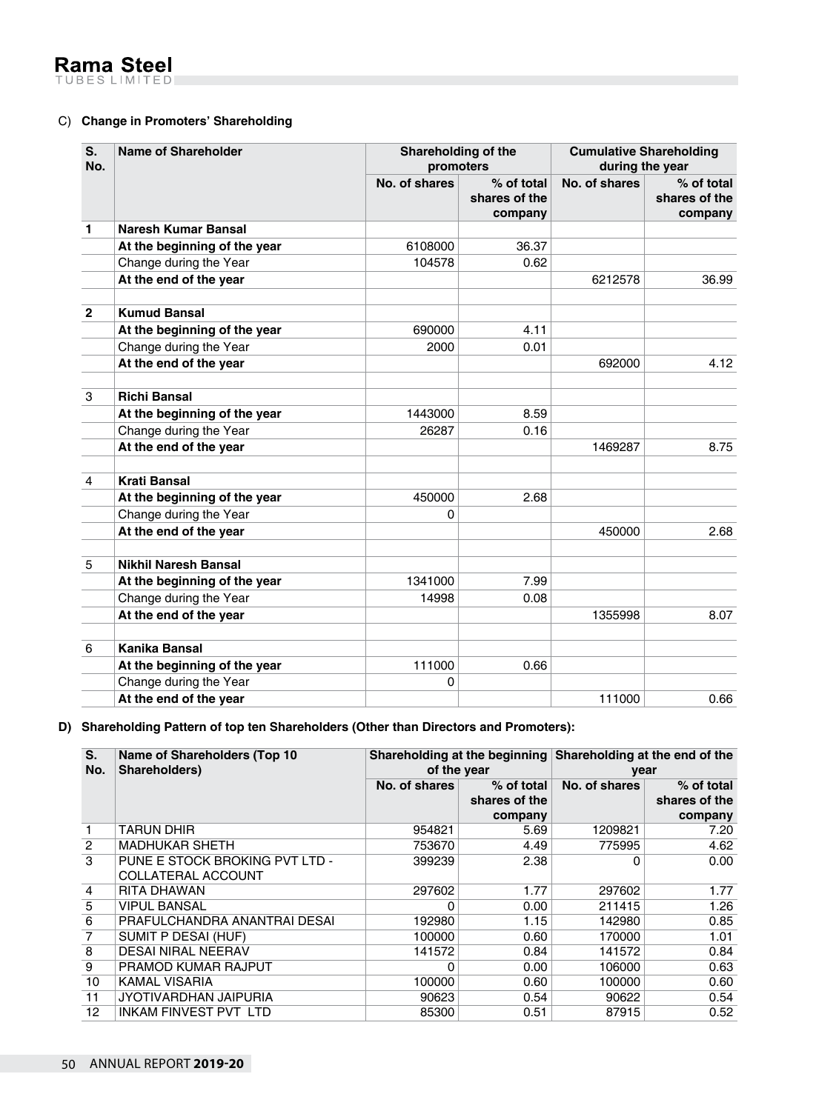# C) **Change in Promoters' Shareholding**

| S.<br>No.      | <b>Name of Shareholder</b>   | Shareholding of the<br>promoters |                                        | <b>Cumulative Shareholding</b><br>during the year |                                        |
|----------------|------------------------------|----------------------------------|----------------------------------------|---------------------------------------------------|----------------------------------------|
|                |                              | No. of shares                    | % of total<br>shares of the<br>company | No. of shares                                     | % of total<br>shares of the<br>company |
| $\mathbf 1$    | Naresh Kumar Bansal          |                                  |                                        |                                                   |                                        |
|                | At the beginning of the year | 6108000                          | 36.37                                  |                                                   |                                        |
|                | Change during the Year       | 104578                           | 0.62                                   |                                                   |                                        |
|                | At the end of the year       |                                  |                                        | 6212578                                           | 36.99                                  |
| $\mathbf{2}$   | <b>Kumud Bansal</b>          |                                  |                                        |                                                   |                                        |
|                | At the beginning of the year | 690000                           | 4.11                                   |                                                   |                                        |
|                | Change during the Year       | 2000                             | 0.01                                   |                                                   |                                        |
|                | At the end of the year       |                                  |                                        | 692000                                            | 4.12                                   |
| 3              | <b>Richi Bansal</b>          |                                  |                                        |                                                   |                                        |
|                | At the beginning of the year | 1443000                          | 8.59                                   |                                                   |                                        |
|                | Change during the Year       | 26287                            | 0.16                                   |                                                   |                                        |
|                | At the end of the year       |                                  |                                        | 1469287                                           | 8.75                                   |
| $\overline{4}$ | <b>Krati Bansal</b>          |                                  |                                        |                                                   |                                        |
|                | At the beginning of the year | 450000                           | 2.68                                   |                                                   |                                        |
|                | Change during the Year       | 0                                |                                        |                                                   |                                        |
|                | At the end of the year       |                                  |                                        | 450000                                            | 2.68                                   |
| 5              | <b>Nikhil Naresh Bansal</b>  |                                  |                                        |                                                   |                                        |
|                | At the beginning of the year | 1341000                          | 7.99                                   |                                                   |                                        |
|                | Change during the Year       | 14998                            | 0.08                                   |                                                   |                                        |
|                | At the end of the year       |                                  |                                        | 1355998                                           | 8.07                                   |
| 6              | Kanika Bansal                |                                  |                                        |                                                   |                                        |
|                | At the beginning of the year | 111000                           | 0.66                                   |                                                   |                                        |
|                | Change during the Year       | 0                                |                                        |                                                   |                                        |
|                | At the end of the year       |                                  |                                        | 111000                                            | 0.66                                   |

# **D) Shareholding Pattern of top ten Shareholders (Other than Directors and Promoters):**

| S.<br>No.       | Name of Shareholders (Top 10)<br>Shareholders)              | of the year   |                                        | Shareholding at the beginning Shareholding at the end of the<br>year |                                          |
|-----------------|-------------------------------------------------------------|---------------|----------------------------------------|----------------------------------------------------------------------|------------------------------------------|
|                 |                                                             | No. of shares | % of total<br>shares of the<br>company | No. of shares                                                        | $%$ of total<br>shares of the<br>company |
|                 | TARUN DHIR                                                  | 954821        | 5.69                                   | 1209821                                                              | 7.20                                     |
| $\overline{2}$  | <b>MADHUKAR SHETH</b>                                       | 753670        | 4.49                                   | 775995                                                               | 4.62                                     |
| 3               | PUNE E STOCK BROKING PVT LTD -<br><b>COLLATERAL ACCOUNT</b> | 399239        | 2.38                                   | ი                                                                    | 0.00                                     |
| $\overline{4}$  | RITA DHAWAN                                                 | 297602        | 1.77                                   | 297602                                                               | 1.77                                     |
| 5               | <b>VIPUL BANSAL</b>                                         | 0             | 0.00                                   | 211415                                                               | 1.26                                     |
| 6               | PRAFULCHANDRA ANANTRAI DESAI                                | 192980        | 1.15                                   | 142980                                                               | 0.85                                     |
| $\overline{7}$  | SUMIT P DESAI (HUF)                                         | 100000        | 0.60                                   | 170000                                                               | 1.01                                     |
| 8               | <b>DESAI NIRAL NEERAV</b>                                   | 141572        | 0.84                                   | 141572                                                               | 0.84                                     |
| 9               | <b>PRAMOD KUMAR RAJPUT</b>                                  | 0             | 0.00                                   | 106000                                                               | 0.63                                     |
| 10              | KAMAL VISARIA                                               | 100000        | 0.60                                   | 100000                                                               | 0.60                                     |
| 11              | JYOTIVARDHAN JAIPURIA                                       | 90623         | 0.54                                   | 90622                                                                | 0.54                                     |
| 12 <sup>2</sup> | <b>INKAM FINVEST PVT LTD</b>                                | 85300         | 0.51                                   | 87915                                                                | 0.52                                     |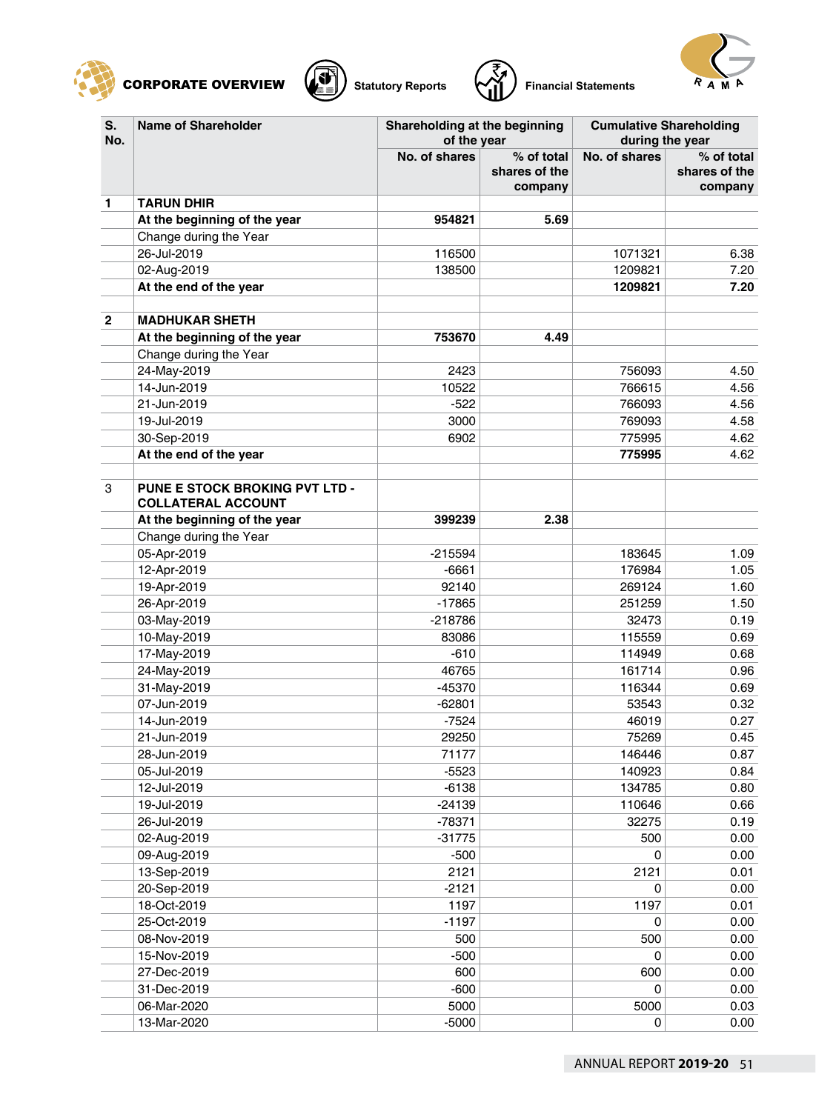







| S.<br>No.      | <b>Name of Shareholder</b>                                  | Shareholding at the beginning<br>of the year |                                        | <b>Cumulative Shareholding</b><br>during the year |                                        |
|----------------|-------------------------------------------------------------|----------------------------------------------|----------------------------------------|---------------------------------------------------|----------------------------------------|
|                |                                                             | No. of shares                                | % of total<br>shares of the<br>company | No. of shares                                     | % of total<br>shares of the<br>company |
| 1              | <b>TARUN DHIR</b>                                           |                                              |                                        |                                                   |                                        |
|                | At the beginning of the year                                | 954821                                       | 5.69                                   |                                                   |                                        |
|                | Change during the Year                                      |                                              |                                        |                                                   |                                        |
|                | 26-Jul-2019                                                 | 116500                                       |                                        | 1071321                                           | 6.38                                   |
|                | 02-Aug-2019                                                 | 138500                                       |                                        | 1209821                                           | 7.20                                   |
|                | At the end of the year                                      |                                              |                                        | 1209821                                           | 7.20                                   |
| $\overline{2}$ | <b>MADHUKAR SHETH</b>                                       |                                              |                                        |                                                   |                                        |
|                | At the beginning of the year                                | 753670                                       | 4.49                                   |                                                   |                                        |
|                | Change during the Year                                      |                                              |                                        |                                                   |                                        |
|                | 24-May-2019                                                 | 2423                                         |                                        | 756093                                            | 4.50                                   |
|                | 14-Jun-2019                                                 | 10522                                        |                                        | 766615                                            | 4.56                                   |
|                | 21-Jun-2019                                                 | $-522$                                       |                                        | 766093                                            | 4.56                                   |
|                | 19-Jul-2019                                                 | 3000                                         |                                        | 769093                                            | 4.58                                   |
|                | 30-Sep-2019                                                 | 6902                                         |                                        | 775995                                            | 4.62                                   |
|                | At the end of the year                                      |                                              |                                        | 775995                                            | 4.62                                   |
| 3              | PUNE E STOCK BROKING PVT LTD -<br><b>COLLATERAL ACCOUNT</b> |                                              |                                        |                                                   |                                        |
|                | At the beginning of the year                                | 399239                                       | 2.38                                   |                                                   |                                        |
|                | Change during the Year                                      |                                              |                                        |                                                   |                                        |
|                | 05-Apr-2019                                                 | $-215594$                                    |                                        | 183645                                            | 1.09                                   |
|                | 12-Apr-2019                                                 | $-6661$                                      |                                        | 176984                                            | 1.05                                   |
|                | 19-Apr-2019                                                 | 92140                                        |                                        | 269124                                            | 1.60                                   |
|                | 26-Apr-2019                                                 | -17865                                       |                                        | 251259                                            | 1.50                                   |
|                | 03-May-2019                                                 | $-218786$                                    |                                        | 32473                                             | 0.19                                   |
|                | 10-May-2019                                                 | 83086                                        |                                        | 115559                                            | 0.69                                   |
|                | 17-May-2019                                                 | $-610$                                       |                                        | 114949                                            | 0.68                                   |
|                | 24-May-2019                                                 | 46765                                        |                                        | 161714                                            | 0.96                                   |
|                | 31-May-2019                                                 | -45370                                       |                                        | 116344                                            | 0.69                                   |
|                | 07-Jun-2019                                                 | $-62801$                                     |                                        | 53543                                             | 0.32                                   |
|                | 14-Jun-2019                                                 | $-7524$                                      |                                        | 46019                                             | 0.27                                   |
|                | 21-Jun-2019                                                 | 29250                                        |                                        | 75269                                             | 0.45                                   |
|                | 28-Jun-2019                                                 | 71177                                        |                                        | 146446                                            | 0.87                                   |
|                | 05-Jul-2019                                                 | $-5523$                                      |                                        | 140923                                            | 0.84                                   |
|                | 12-Jul-2019                                                 | $-6138$                                      |                                        | 134785                                            | 0.80                                   |
|                | 19-Jul-2019                                                 | $-24139$                                     |                                        | 110646                                            | 0.66                                   |
|                | 26-Jul-2019                                                 | $-78371$                                     |                                        | 32275                                             | 0.19                                   |
|                | 02-Aug-2019                                                 | $-31775$                                     |                                        | 500                                               | 0.00                                   |
|                | 09-Aug-2019                                                 | $-500$                                       |                                        | 0                                                 | 0.00                                   |
|                | 13-Sep-2019                                                 | 2121                                         |                                        | 2121                                              | 0.01                                   |
|                | 20-Sep-2019                                                 | $-2121$                                      |                                        | 0                                                 | 0.00                                   |
|                | 18-Oct-2019                                                 | 1197                                         |                                        | 1197                                              | 0.01                                   |
|                | 25-Oct-2019                                                 | $-1197$                                      |                                        | 0                                                 | 0.00                                   |
|                | 08-Nov-2019                                                 | 500                                          |                                        | 500                                               | 0.00                                   |
|                | 15-Nov-2019                                                 | $-500$                                       |                                        | $\mathbf 0$                                       | 0.00                                   |
|                | 27-Dec-2019                                                 | 600                                          |                                        | 600                                               | 0.00                                   |
|                | 31-Dec-2019                                                 | $-600$                                       |                                        | 0                                                 | 0.00                                   |
|                | 06-Mar-2020                                                 | 5000                                         |                                        | 5000                                              | 0.03                                   |
|                | 13-Mar-2020                                                 | $-5000$                                      |                                        | 0                                                 | 0.00                                   |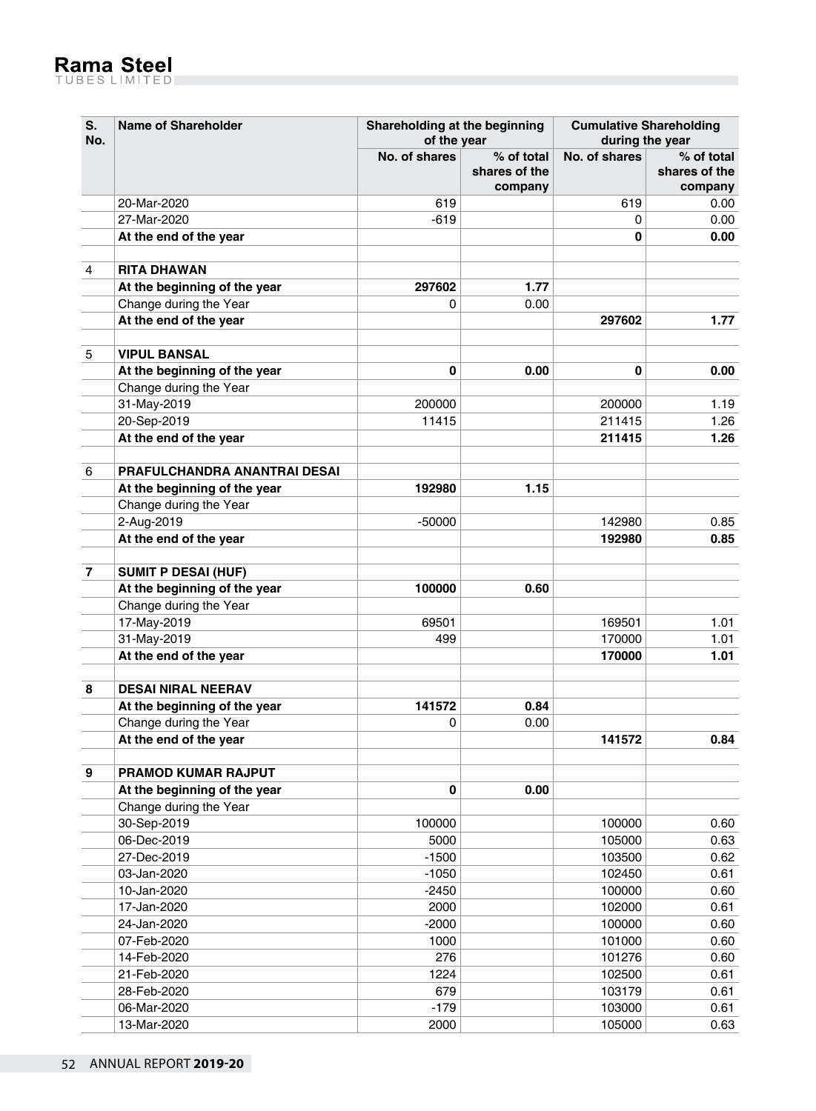| No. |                                     | of the year   |                                        |               | during the year                        |  |
|-----|-------------------------------------|---------------|----------------------------------------|---------------|----------------------------------------|--|
|     |                                     | No. of shares | % of total<br>shares of the<br>company | No. of shares | % of total<br>shares of the<br>company |  |
|     | 20-Mar-2020                         | 619           |                                        | 619           | 0.00                                   |  |
|     | 27-Mar-2020                         | $-619$        |                                        | 0             | 0.00                                   |  |
|     | At the end of the year              |               |                                        | 0             | 0.00                                   |  |
| 4   | <b>RITA DHAWAN</b>                  |               |                                        |               |                                        |  |
|     | At the beginning of the year        | 297602        | 1.77                                   |               |                                        |  |
|     | Change during the Year              | 0             | 0.00                                   |               |                                        |  |
|     | At the end of the year              |               |                                        | 297602        | 1.77                                   |  |
| 5   | <b>VIPUL BANSAL</b>                 |               |                                        |               |                                        |  |
|     | At the beginning of the year        | 0             | 0.00                                   | 0             | 0.00                                   |  |
|     | Change during the Year              |               |                                        |               |                                        |  |
|     | 31-May-2019                         | 200000        |                                        | 200000        | 1.19                                   |  |
|     | 20-Sep-2019                         | 11415         |                                        | 211415        | 1.26                                   |  |
|     | At the end of the year              |               |                                        | 211415        | 1.26                                   |  |
| 6   | <b>PRAFULCHANDRA ANANTRAI DESAI</b> |               |                                        |               |                                        |  |
|     | At the beginning of the year        | 192980        | 1.15                                   |               |                                        |  |
|     | Change during the Year              |               |                                        |               |                                        |  |
|     | 2-Aug-2019                          | $-50000$      |                                        | 142980        | 0.85                                   |  |
|     | At the end of the year              |               |                                        | 192980        | 0.85                                   |  |
| 7   | <b>SUMIT P DESAI (HUF)</b>          |               |                                        |               |                                        |  |
|     | At the beginning of the year        | 100000        | 0.60                                   |               |                                        |  |
|     | Change during the Year              |               |                                        |               |                                        |  |
|     | 17-May-2019                         | 69501         |                                        | 169501        | 1.01                                   |  |
|     | 31-May-2019                         | 499           |                                        | 170000        | 1.01                                   |  |
|     | At the end of the year              |               |                                        | 170000        | 1.01                                   |  |
| 8   | <b>DESAI NIRAL NEERAV</b>           |               |                                        |               |                                        |  |
|     | At the beginning of the year        | 141572        | 0.84                                   |               |                                        |  |
|     | Change during the Year              | 0             | 0.00                                   |               |                                        |  |
|     | At the end of the year              |               |                                        | 141572        | 0.84                                   |  |
| 9   | PRAMOD KUMAR RAJPUT                 |               |                                        |               |                                        |  |
|     | At the beginning of the year        | 0             | 0.00                                   |               |                                        |  |
|     | Change during the Year              |               |                                        |               |                                        |  |
|     | 30-Sep-2019                         | 100000        |                                        | 100000        | 0.60                                   |  |
|     | 06-Dec-2019                         | 5000          |                                        | 105000        | 0.63                                   |  |
|     | 27-Dec-2019                         | $-1500$       |                                        | 103500        | 0.62                                   |  |
|     | 03-Jan-2020                         | $-1050$       |                                        | 102450        | 0.61                                   |  |
|     | 10-Jan-2020                         | $-2450$       |                                        | 100000        | 0.60                                   |  |
|     | 17-Jan-2020                         | 2000          |                                        | 102000        | 0.61                                   |  |
|     | 24-Jan-2020                         | $-2000$       |                                        | 100000        | 0.60                                   |  |
|     | 07-Feb-2020                         | 1000          |                                        | 101000        | 0.60                                   |  |
|     | 14-Feb-2020                         | 276           |                                        | 101276        | 0.60                                   |  |
|     | 21-Feb-2020                         | 1224          |                                        | 102500        | 0.61                                   |  |
|     | 28-Feb-2020                         | 679           |                                        | 103179        | 0.61                                   |  |
|     | 06-Mar-2020                         | $-179$        |                                        | 103000        | 0.61                                   |  |
|     | 13-Mar-2020                         | 2000          |                                        | 105000        | 0.63                                   |  |
|     |                                     |               |                                        |               |                                        |  |

**Cumulative Shareholding**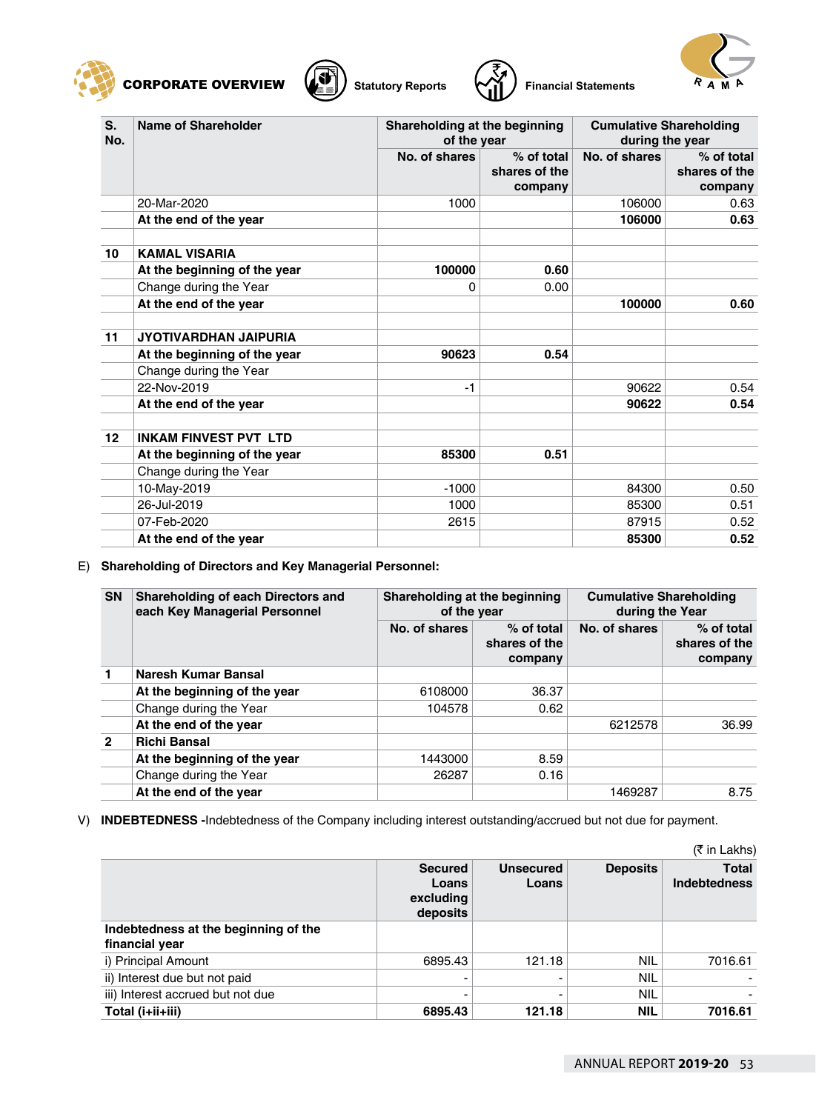





| S.<br>No. | Name of Shareholder          | Shareholding at the beginning<br>of the year |                                        | <b>Cumulative Shareholding</b><br>during the year |                                        |
|-----------|------------------------------|----------------------------------------------|----------------------------------------|---------------------------------------------------|----------------------------------------|
|           |                              | No. of shares                                | % of total<br>shares of the<br>company | No. of shares                                     | % of total<br>shares of the<br>company |
|           | 20-Mar-2020                  | 1000                                         |                                        | 106000                                            | 0.63                                   |
|           | At the end of the year       |                                              |                                        | 106000                                            | 0.63                                   |
| 10        | <b>KAMAL VISARIA</b>         |                                              |                                        |                                                   |                                        |
|           | At the beginning of the year | 100000                                       | 0.60                                   |                                                   |                                        |
|           | Change during the Year       | 0                                            | 0.00                                   |                                                   |                                        |
|           | At the end of the year       |                                              |                                        | 100000                                            | 0.60                                   |
| 11        | <b>JYOTIVARDHAN JAIPURIA</b> |                                              |                                        |                                                   |                                        |
|           | At the beginning of the year | 90623                                        | 0.54                                   |                                                   |                                        |
|           | Change during the Year       |                                              |                                        |                                                   |                                        |
|           | 22-Nov-2019                  | $-1$                                         |                                        | 90622                                             | 0.54                                   |
|           | At the end of the year       |                                              |                                        | 90622                                             | 0.54                                   |
| 12        | <b>INKAM FINVEST PVT LTD</b> |                                              |                                        |                                                   |                                        |
|           | At the beginning of the year | 85300                                        | 0.51                                   |                                                   |                                        |
|           | Change during the Year       |                                              |                                        |                                                   |                                        |
|           | 10-May-2019                  | $-1000$                                      |                                        | 84300                                             | 0.50                                   |
|           | 26-Jul-2019                  | 1000                                         |                                        | 85300                                             | 0.51                                   |
|           | 07-Feb-2020                  | 2615                                         |                                        | 87915                                             | 0.52                                   |
|           | At the end of the year       |                                              |                                        | 85300                                             | 0.52                                   |

#### E) **Shareholding of Directors and Key Managerial Personnel:**

| <b>SN</b>      | Shareholding of each Directors and<br>each Key Managerial Personnel | Shareholding at the beginning<br>of the year |                                          | <b>Cumulative Shareholding</b><br>during the Year |                                        |
|----------------|---------------------------------------------------------------------|----------------------------------------------|------------------------------------------|---------------------------------------------------|----------------------------------------|
|                |                                                                     | No. of shares                                | $%$ of total<br>shares of the<br>company | No. of shares                                     | % of total<br>shares of the<br>company |
|                | Naresh Kumar Bansal                                                 |                                              |                                          |                                                   |                                        |
|                | At the beginning of the year                                        | 6108000                                      | 36.37                                    |                                                   |                                        |
|                | Change during the Year                                              | 104578                                       | 0.62                                     |                                                   |                                        |
|                | At the end of the year                                              |                                              |                                          | 6212578                                           | 36.99                                  |
| $\overline{2}$ | <b>Richi Bansal</b>                                                 |                                              |                                          |                                                   |                                        |
|                | At the beginning of the year                                        | 1443000                                      | 8.59                                     |                                                   |                                        |
|                | Change during the Year                                              | 26287                                        | 0.16                                     |                                                   |                                        |
|                | At the end of the year                                              |                                              |                                          | 1469287                                           | 8.75                                   |

V) **INDEBTEDNESS -**Indebtedness of the Company including interest outstanding/accrued but not due for payment.

|                                                        |                                                  |                           |                 | (₹ in Lakhs)                        |
|--------------------------------------------------------|--------------------------------------------------|---------------------------|-----------------|-------------------------------------|
|                                                        | <b>Secured</b><br>Loans<br>excluding<br>deposits | <b>Unsecured</b><br>Loans | <b>Deposits</b> | <b>Total</b><br><b>Indebtedness</b> |
| Indebtedness at the beginning of the<br>financial year |                                                  |                           |                 |                                     |
| i) Principal Amount                                    | 6895.43                                          | 121.18                    | NIL             | 7016.61                             |
| ii) Interest due but not paid                          |                                                  |                           | <b>NIL</b>      |                                     |
| iii) Interest accrued but not due                      | $\overline{\phantom{0}}$                         | -                         | <b>NIL</b>      |                                     |
| Total (i+ii+iii)                                       | 6895.43                                          | 121.18                    | NIL             | 7016.61                             |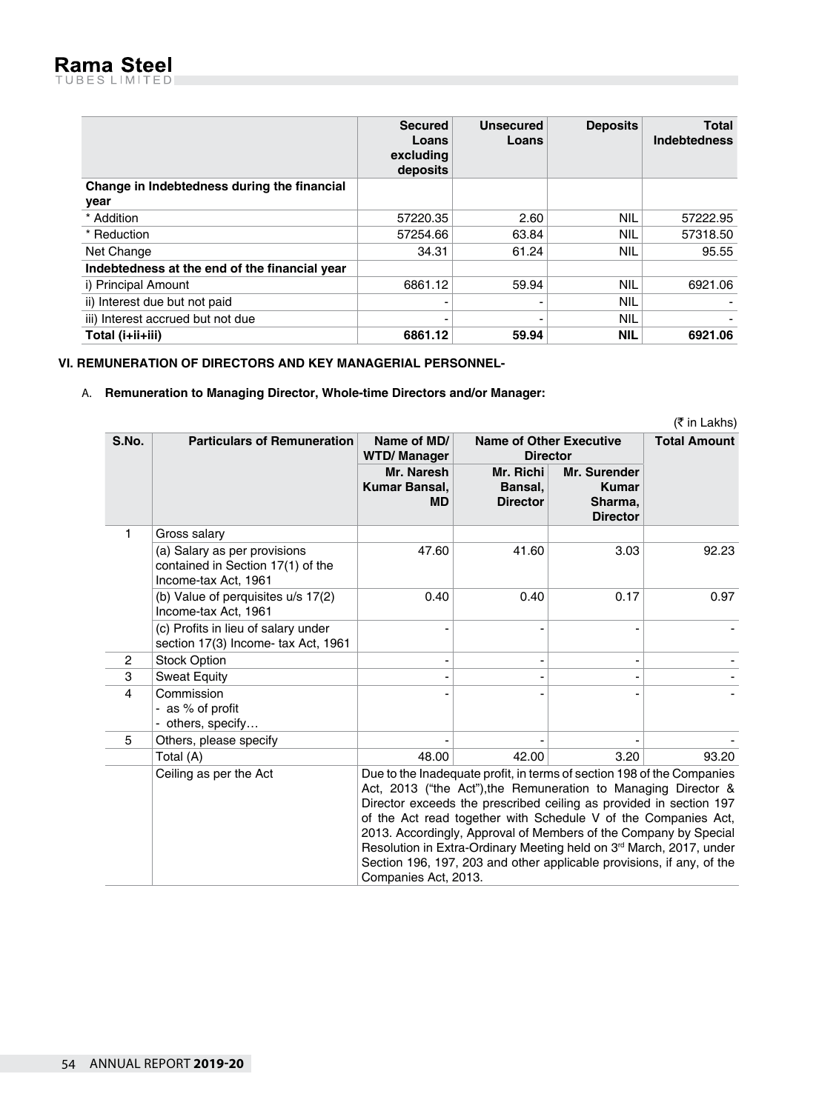|                                               | <b>Secured</b><br>Loans<br>excluding<br>deposits | <b>Unsecured</b><br>Loans | <b>Deposits</b> | <b>Total</b><br><b>Indebtedness</b> |
|-----------------------------------------------|--------------------------------------------------|---------------------------|-----------------|-------------------------------------|
| Change in Indebtedness during the financial   |                                                  |                           |                 |                                     |
| year                                          |                                                  |                           |                 |                                     |
| * Addition                                    | 57220.35                                         | 2.60                      | NIL             | 57222.95                            |
| * Reduction                                   | 57254.66                                         | 63.84                     | NIL             | 57318.50                            |
| Net Change                                    | 34.31                                            | 61.24                     | NIL             | 95.55                               |
| Indebtedness at the end of the financial year |                                                  |                           |                 |                                     |
| i) Principal Amount                           | 6861.12                                          | 59.94                     | NIL             | 6921.06                             |
| ii) Interest due but not paid                 |                                                  |                           | NIL             |                                     |
| iii) Interest accrued but not due             |                                                  |                           | NIL             |                                     |
| Total (i+ii+iii)                              | 6861.12                                          | 59.94                     | <b>NIL</b>      | 6921.06                             |

# **VI. REMUNERATION OF DIRECTORS AND KEY MANAGERIAL PERSONNEL-**

### A. **Remuneration to Managing Director, Whole-time Directors and/or Manager:**

|                |                                                                                           |                                                                                                                                                                                                                                                                                                                                                                                                                                                                                                                                          |                                                   |                                                            | (₹ in Lakhs)        |
|----------------|-------------------------------------------------------------------------------------------|------------------------------------------------------------------------------------------------------------------------------------------------------------------------------------------------------------------------------------------------------------------------------------------------------------------------------------------------------------------------------------------------------------------------------------------------------------------------------------------------------------------------------------------|---------------------------------------------------|------------------------------------------------------------|---------------------|
| S.No.          | <b>Particulars of Remuneration</b>                                                        | Name of MD/<br><b>WTD/Manager</b>                                                                                                                                                                                                                                                                                                                                                                                                                                                                                                        | <b>Name of Other Executive</b><br><b>Director</b> |                                                            | <b>Total Amount</b> |
|                |                                                                                           | Mr. Naresh<br>Kumar Bansal.<br><b>MD</b>                                                                                                                                                                                                                                                                                                                                                                                                                                                                                                 | Mr. Richi<br>Bansal,<br><b>Director</b>           | Mr. Surender<br><b>Kumar</b><br>Sharma.<br><b>Director</b> |                     |
| 1              | Gross salary                                                                              |                                                                                                                                                                                                                                                                                                                                                                                                                                                                                                                                          |                                                   |                                                            |                     |
|                | (a) Salary as per provisions<br>contained in Section 17(1) of the<br>Income-tax Act, 1961 | 47.60                                                                                                                                                                                                                                                                                                                                                                                                                                                                                                                                    | 41.60                                             | 3.03                                                       | 92.23               |
|                | (b) Value of perquisites u/s 17(2)<br>Income-tax Act, 1961                                | 0.40                                                                                                                                                                                                                                                                                                                                                                                                                                                                                                                                     | 0.40                                              | 0.17                                                       | 0.97                |
|                | (c) Profits in lieu of salary under<br>section 17(3) Income- tax Act, 1961                |                                                                                                                                                                                                                                                                                                                                                                                                                                                                                                                                          |                                                   |                                                            |                     |
| $\overline{2}$ | <b>Stock Option</b>                                                                       | ٠                                                                                                                                                                                                                                                                                                                                                                                                                                                                                                                                        |                                                   |                                                            |                     |
| 3              | <b>Sweat Equity</b>                                                                       |                                                                                                                                                                                                                                                                                                                                                                                                                                                                                                                                          |                                                   |                                                            |                     |
| $\overline{4}$ | Commission<br>- as % of profit<br>- others, specify                                       |                                                                                                                                                                                                                                                                                                                                                                                                                                                                                                                                          |                                                   |                                                            |                     |
| 5              | Others, please specify                                                                    |                                                                                                                                                                                                                                                                                                                                                                                                                                                                                                                                          |                                                   |                                                            |                     |
|                | Total (A)                                                                                 | 48.00                                                                                                                                                                                                                                                                                                                                                                                                                                                                                                                                    | 42.00                                             | 3.20                                                       | 93.20               |
|                | Ceiling as per the Act                                                                    | Due to the Inadequate profit, in terms of section 198 of the Companies<br>Act, 2013 ("the Act"), the Remuneration to Managing Director &<br>Director exceeds the prescribed ceiling as provided in section 197<br>of the Act read together with Schedule V of the Companies Act,<br>2013. Accordingly, Approval of Members of the Company by Special<br>Resolution in Extra-Ordinary Meeting held on 3 <sup>rd</sup> March, 2017, under<br>Section 196, 197, 203 and other applicable provisions, if any, of the<br>Companies Act, 2013. |                                                   |                                                            |                     |